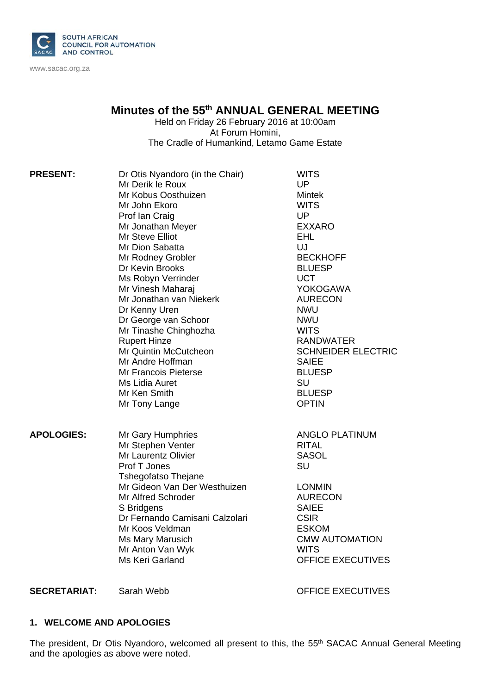

www.sacac.org.za

# **Minutes of the 55th ANNUAL GENERAL MEETING**

Held on Friday 26 February 2016 at 10:00am At Forum Homini, The Cradle of Humankind, Letamo Game Estate

| <b>PRESENT:</b>   | Dr Otis Nyandoro (in the Chair)<br>Mr Derik le Roux<br>Mr Kobus Oosthuizen<br>Mr John Ekoro<br>Prof Ian Craig<br>Mr Jonathan Meyer<br>Mr Steve Elliot<br>Mr Dion Sabatta<br>Mr Rodney Grobler<br>Dr Kevin Brooks<br>Ms Robyn Verrinder<br>Mr Vinesh Maharaj<br>Mr Jonathan van Niekerk<br>Dr Kenny Uren<br>Dr George van Schoor<br>Mr Tinashe Chinghozha<br><b>Rupert Hinze</b><br>Mr Quintin McCutcheon<br>Mr Andre Hoffman<br>Mr Francois Pieterse<br>Ms Lidia Auret<br>Mr Ken Smith | <b>WITS</b><br><b>UP</b><br><b>Mintek</b><br><b>WITS</b><br><b>UP</b><br><b>EXXARO</b><br><b>EHL</b><br>UJ<br><b>BECKHOFF</b><br><b>BLUESP</b><br><b>UCT</b><br><b>YOKOGAWA</b><br><b>AURECON</b><br><b>NWU</b><br><b>NWU</b><br><b>WITS</b><br><b>RANDWATER</b><br><b>SCHNEIDER ELECTRIC</b><br><b>SAIEE</b><br><b>BLUESP</b><br><b>SU</b><br><b>BLUESP</b> |
|-------------------|----------------------------------------------------------------------------------------------------------------------------------------------------------------------------------------------------------------------------------------------------------------------------------------------------------------------------------------------------------------------------------------------------------------------------------------------------------------------------------------|--------------------------------------------------------------------------------------------------------------------------------------------------------------------------------------------------------------------------------------------------------------------------------------------------------------------------------------------------------------|
| <b>APOLOGIES:</b> | Mr Tony Lange<br>Mr Gary Humphries<br>Mr Stephen Venter<br>Mr Laurentz Olivier<br>Prof T Jones<br><b>Tshegofatso Thejane</b><br>Mr Gideon Van Der Westhuizen<br><b>Mr Alfred Schroder</b><br>S Bridgens<br>Dr Fernando Camisani Calzolari<br>Mr Koos Veldman<br>Ms Mary Marusich<br>Mr Anton Van Wyk<br>Ms Keri Garland                                                                                                                                                                | <b>OPTIN</b><br><b>ANGLO PLATINUM</b><br>RITAL<br><b>SASOL</b><br>SU<br><b>LONMIN</b><br><b>AURECON</b><br><b>SAIEE</b><br><b>CSIR</b><br><b>ESKOM</b><br><b>CMW AUTOMATION</b><br><b>WITS</b><br><b>OFFICE EXECUTIVES</b>                                                                                                                                   |

**SECRETARIAT:** Sarah Webb OFFICE EXECUTIVES

#### **1. WELCOME AND APOLOGIES**

The president, Dr Otis Nyandoro, welcomed all present to this, the 55<sup>th</sup> SACAC Annual General Meeting and the apologies as above were noted.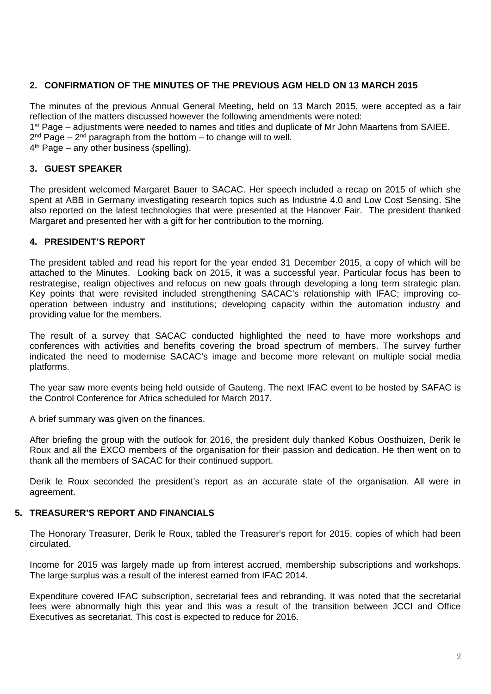## **2. CONFIRMATION OF THE MINUTES OF THE PREVIOUS AGM HELD ON 13 MARCH 2015**

The minutes of the previous Annual General Meeting, held on 13 March 2015, were accepted as a fair reflection of the matters discussed however the following amendments were noted:

1<sup>st</sup> Page – adjustments were needed to names and titles and duplicate of Mr John Maartens from SAIEE.

 $2<sup>nd</sup> Page – 2<sup>nd</sup> paragraph from the bottom – to change will to well.$ 

 $4<sup>th</sup>$  Page – any other business (spelling).

#### **3. GUEST SPEAKER**

The president welcomed Margaret Bauer to SACAC. Her speech included a recap on 2015 of which she spent at ABB in Germany investigating research topics such as Industrie 4.0 and Low Cost Sensing. She also reported on the latest technologies that were presented at the Hanover Fair. The president thanked Margaret and presented her with a gift for her contribution to the morning.

#### **4. PRESIDENT'S REPORT**

The president tabled and read his report for the year ended 31 December 2015, a copy of which will be attached to the Minutes. Looking back on 2015, it was a successful year. Particular focus has been to restrategise, realign objectives and refocus on new goals through developing a long term strategic plan. Key points that were revisited included strengthening SACAC's relationship with IFAC; improving cooperation between industry and institutions; developing capacity within the automation industry and providing value for the members.

The result of a survey that SACAC conducted highlighted the need to have more workshops and conferences with activities and benefits covering the broad spectrum of members. The survey further indicated the need to modernise SACAC's image and become more relevant on multiple social media platforms.

The year saw more events being held outside of Gauteng. The next IFAC event to be hosted by SAFAC is the Control Conference for Africa scheduled for March 2017.

A brief summary was given on the finances.

After briefing the group with the outlook for 2016, the president duly thanked Kobus Oosthuizen, Derik le Roux and all the EXCO members of the organisation for their passion and dedication. He then went on to thank all the members of SACAC for their continued support.

Derik le Roux seconded the president's report as an accurate state of the organisation. All were in agreement.

#### **5. TREASURER'S REPORT AND FINANCIALS**

The Honorary Treasurer, Derik le Roux, tabled the Treasurer's report for 2015, copies of which had been circulated.

Income for 2015 was largely made up from interest accrued, membership subscriptions and workshops. The large surplus was a result of the interest earned from IFAC 2014.

Expenditure covered IFAC subscription, secretarial fees and rebranding. It was noted that the secretarial fees were abnormally high this year and this was a result of the transition between JCCI and Office Executives as secretariat. This cost is expected to reduce for 2016.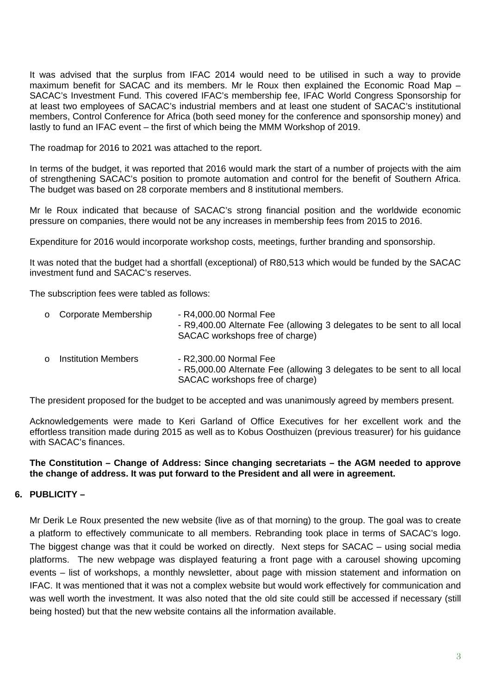It was advised that the surplus from IFAC 2014 would need to be utilised in such a way to provide maximum benefit for SACAC and its members. Mr le Roux then explained the Economic Road Map – SACAC's Investment Fund. This covered IFAC's membership fee, IFAC World Congress Sponsorship for at least two employees of SACAC's industrial members and at least one student of SACAC's institutional members, Control Conference for Africa (both seed money for the conference and sponsorship money) and lastly to fund an IFAC event – the first of which being the MMM Workshop of 2019.

The roadmap for 2016 to 2021 was attached to the report.

In terms of the budget, it was reported that 2016 would mark the start of a number of projects with the aim of strengthening SACAC's position to promote automation and control for the benefit of Southern Africa. The budget was based on 28 corporate members and 8 institutional members.

Mr le Roux indicated that because of SACAC's strong financial position and the worldwide economic pressure on companies, there would not be any increases in membership fees from 2015 to 2016.

Expenditure for 2016 would incorporate workshop costs, meetings, further branding and sponsorship.

It was noted that the budget had a shortfall (exceptional) of R80,513 which would be funded by the SACAC investment fund and SACAC's reserves.

The subscription fees were tabled as follows:

| $\circ$ | Corporate Membership       | - R4,000.00 Normal Fee<br>- R9,400.00 Alternate Fee (allowing 3 delegates to be sent to all local<br>SACAC workshops free of charge) |
|---------|----------------------------|--------------------------------------------------------------------------------------------------------------------------------------|
| $\cap$  | <b>Institution Members</b> | - R2,300.00 Normal Fee<br>- R5,000.00 Alternate Fee (allowing 3 delegates to be sent to all local                                    |

The president proposed for the budget to be accepted and was unanimously agreed by members present.

SACAC workshops free of charge)

Acknowledgements were made to Keri Garland of Office Executives for her excellent work and the effortless transition made during 2015 as well as to Kobus Oosthuizen (previous treasurer) for his guidance with SACAC's finances.

#### **The Constitution – Change of Address: Since changing secretariats – the AGM needed to approve the change of address. It was put forward to the President and all were in agreement.**

#### **6. PUBLICITY –**

Mr Derik Le Roux presented the new website (live as of that morning) to the group. The goal was to create a platform to effectively communicate to all members. Rebranding took place in terms of SACAC's logo. The biggest change was that it could be worked on directly. Next steps for SACAC – using social media platforms. The new webpage was displayed featuring a front page with a carousel showing upcoming events – list of workshops, a monthly newsletter, about page with mission statement and information on IFAC. It was mentioned that it was not a complex website but would work effectively for communication and was well worth the investment. It was also noted that the old site could still be accessed if necessary (still being hosted) but that the new website contains all the information available.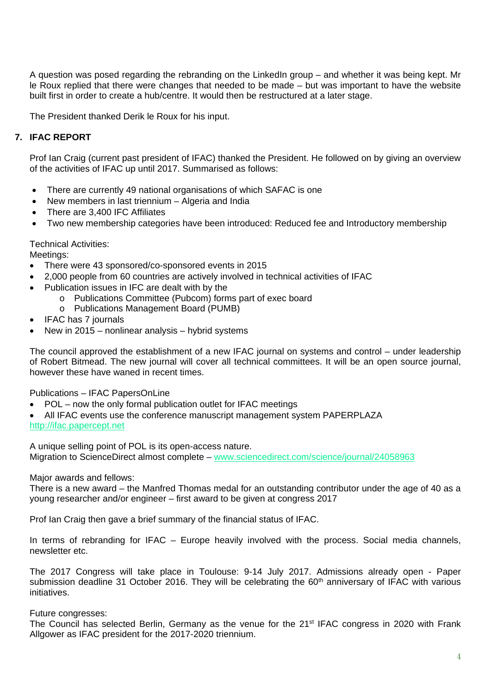A question was posed regarding the rebranding on the LinkedIn group – and whether it was being kept. Mr le Roux replied that there were changes that needed to be made – but was important to have the website built first in order to create a hub/centre. It would then be restructured at a later stage.

The President thanked Derik le Roux for his input.

# **7. IFAC REPORT**

Prof Ian Craig (current past president of IFAC) thanked the President. He followed on by giving an overview of the activities of IFAC up until 2017. Summarised as follows:

- There are currently 49 national organisations of which SAFAC is one
- New members in last triennium Algeria and India
- There are 3,400 IFC Affiliates
- Two new membership categories have been introduced: Reduced fee and Introductory membership

Technical Activities:

Meetings:

- There were 43 sponsored/co-sponsored events in 2015
- 2,000 people from 60 countries are actively involved in technical activities of IFAC
- Publication issues in IFC are dealt with by the
	- o Publications Committee (Pubcom) forms part of exec board
	- o Publications Management Board (PUMB)
- IFAC has 7 journals
- New in 2015 nonlinear analysis hybrid systems

The council approved the establishment of a new IFAC journal on systems and control – under leadership of Robert Bitmead. The new journal will cover all technical committees. It will be an open source journal, however these have waned in recent times.

Publications – IFAC PapersOnLine

- POL now the only formal publication outlet for IFAC meetings
- All IFAC events use the conference manuscript management system PAPERPLAZA

http://ifac.papercept.net

A unique selling point of POL is its open-access nature. Migration to ScienceDirect almost complete – www.sciencedirect.com/science/journal/24058963

Major awards and fellows:

There is a new award – the Manfred Thomas medal for an outstanding contributor under the age of 40 as a young researcher and/or engineer – first award to be given at congress 2017

Prof Ian Craig then gave a brief summary of the financial status of IFAC.

In terms of rebranding for IFAC – Europe heavily involved with the process. Social media channels, newsletter etc.

The 2017 Congress will take place in Toulouse: 9-14 July 2017. Admissions already open - Paper submission deadline 31 October 2016. They will be celebrating the 60<sup>th</sup> anniversary of IFAC with various initiatives.

Future congresses:

The Council has selected Berlin, Germany as the venue for the 21<sup>st</sup> IFAC congress in 2020 with Frank Allgower as IFAC president for the 2017-2020 triennium.